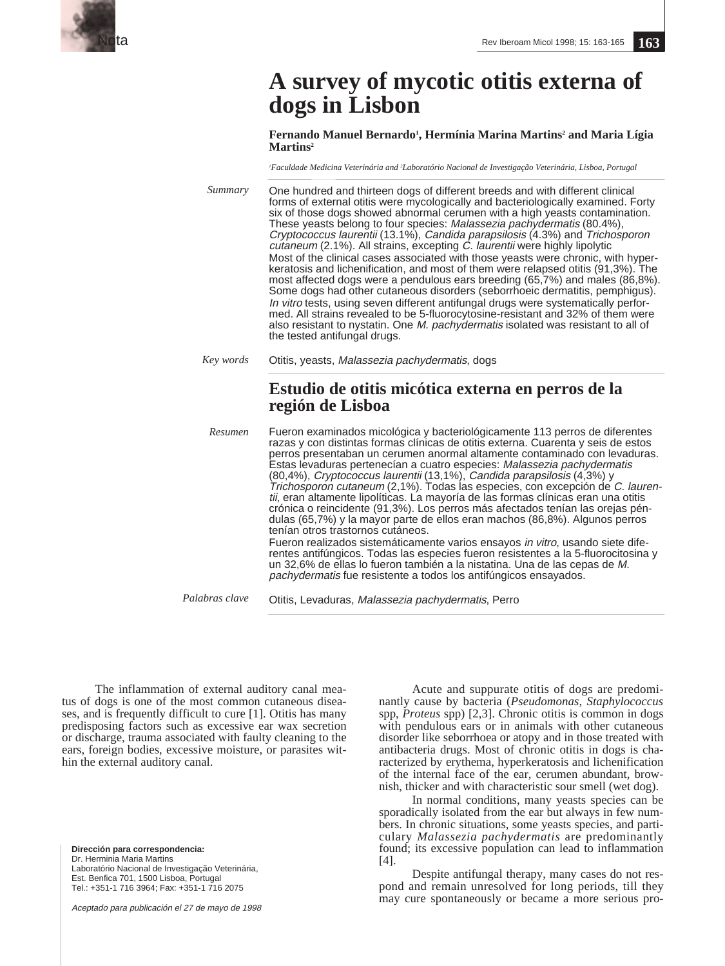

# **A survey of mycotic otitis externa of dogs in Lisbon**

**Fernando Manuel Bernardo1 , Hermínia Marina Martins2 and Maria Lígia Martins2**

*1 Faculdade Medicina Veterinária and 2 Laboratório Nacional de Investigação Veterinária, Lisboa, Portugal*

One hundred and thirteen dogs of different breeds and with different clinical forms of external otitis were mycologically and bacteriologically examined. Forty six of those dogs showed abnormal cerumen with a high yeasts contamination. These yeasts belong to four species: Malassezia pachydermatis (80.4%), Cryptococcus laurentii (13.1%), Candida parapsilosis (4.3%) and Trichosporon cutaneum (2.1%). All strains, excepting C. laurentii were highly lipolytic Most of the clinical cases associated with those yeasts were chronic, with hyperkeratosis and lichenification, and most of them were relapsed otitis (91,3%). The most affected dogs were a pendulous ears breeding (65,7%) and males (86,8%). Some dogs had other cutaneous disorders (seborrhoeic dermatitis, pemphigus). In vitro tests, using seven different antifungal drugs were systematically performed. All strains revealed to be 5-fluorocytosine-resistant and 32% of them were also resistant to nystatin. One M. pachydermatis isolated was resistant to all of the tested antifungal drugs. Otitis, yeasts, Malassezia pachydermatis, dogs *Summary Key words*

# **Estudio de otitis micótica externa en perros de la región de Lisboa**

Fueron examinados micológica y bacteriológicamente 113 perros de diferentes razas y con distintas formas clínicas de otitis externa. Cuarenta y seis de estos perros presentaban un cerumen anormal altamente contaminado con levaduras. Estas levaduras pertenecían a cuatro especies: Malassezia pachydermatis (80,4%), Cryptococcus laurentii (13,1%), Candida parapsilosis (4,3%) y Trichosporon cutaneum (2,1%). Todas las especies, con excepción de C. laurentii, eran altamente lipolíticas. La mayoría de las formas clínicas eran una otitis crónica o reincidente (91,3%). Los perros más afectados tenían las orejas péndulas (65,7%) y la mayor parte de ellos eran machos (86,8%). Algunos perros tenían otros trastornos cutáneos. Fueron realizados sistemáticamente varios ensayos in vitro, usando siete diferentes antifúngicos. Todas las especies fueron resistentes a la 5-fluorocitosina y un 32,6% de ellas lo fueron también a la nistatina. Una de las cepas de M. pachydermatis fue resistente a todos los antifúngicos ensayados. *Resumen*

Otitis, Levaduras, Malassezia pachydermatis, Perro *Palabras clave*

The inflammation of external auditory canal meatus of dogs is one of the most common cutaneous diseases, and is frequently difficult to cure [1]. Otitis has many predisposing factors such as excessive ear wax secretion or discharge, trauma associated with faulty cleaning to the ears, foreign bodies, excessive moisture, or parasites within the external auditory canal.

**Dirección para correspondencia:** Dr. Herminia Maria Martins Laboratório Nacional de Investigação Veterinária, Est. Benfica 701, 1500 Lisboa, Portugal Tel.: +351-1 716 3964; Fax: +351-1 716 2075

Aceptado para publicación el 27 de mayo de 1998

Acute and suppurate otitis of dogs are predominantly cause by bacteria (*Pseudomonas, Staphylococcus* spp, *Proteus* spp) [2,3]. Chronic otitis is common in dogs with pendulous ears or in animals with other cutaneous disorder like seborrhoea or atopy and in those treated with antibacteria drugs. Most of chronic otitis in dogs is characterized by erythema, hyperkeratosis and lichenification of the internal face of the ear, cerumen abundant, brownish, thicker and with characteristic sour smell (wet dog).

In normal conditions, many yeasts species can be sporadically isolated from the ear but always in few numbers. In chronic situations, some yeasts species, and particulary *Malassezia pachydermatis* are predominantly found; its excessive population can lead to inflammation [4].

Despite antifungal therapy, many cases do not respond and remain unresolved for long periods, till they may cure spontaneously or became a more serious pro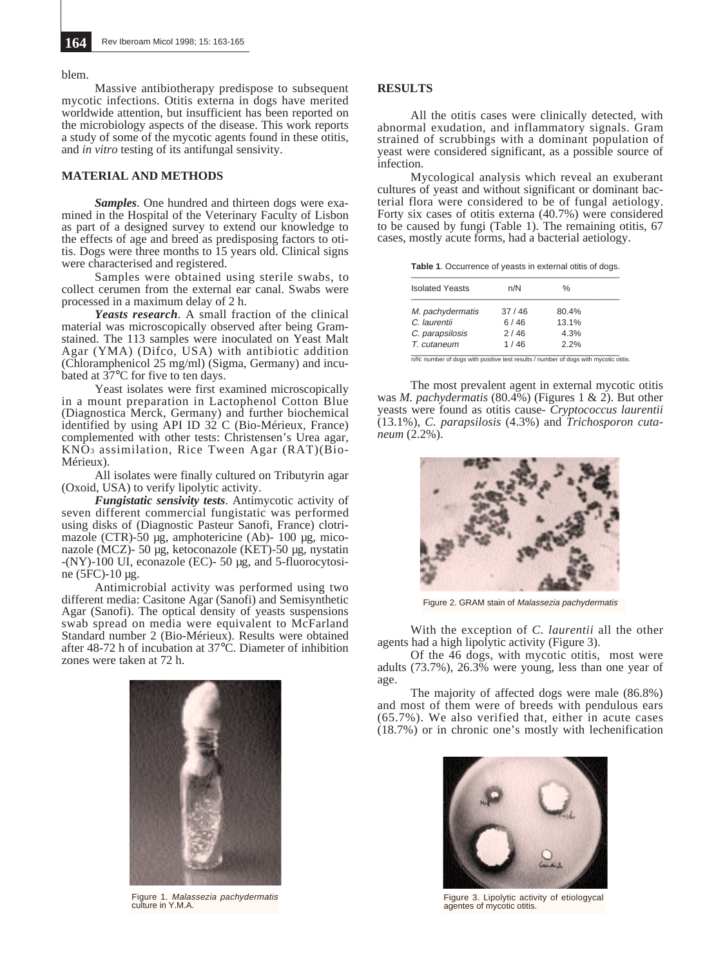blem.

Massive antibiotherapy predispose to subsequent mycotic infections. Otitis externa in dogs have merited worldwide attention, but insufficient has been reported on the microbiology aspects of the disease. This work reports a study of some of the mycotic agents found in these otitis, and *in vitro* testing of its antifungal sensivity.

#### **MATERIAL AND METHODS**

*Samples*. One hundred and thirteen dogs were examined in the Hospital of the Veterinary Faculty of Lisbon as part of a designed survey to extend our knowledge to the effects of age and breed as predisposing factors to otitis. Dogs were three months to 15 years old. Clinical signs were characterised and registered.

Samples were obtained using sterile swabs, to collect cerumen from the external ear canal. Swabs were processed in a maximum delay of 2 h.

*Yeasts research*. A small fraction of the clinical material was microscopically observed after being Gramstained. The 113 samples were inoculated on Yeast Malt Agar (YMA) (Difco, USA) with antibiotic addition (Chloramphenicol 25 mg/ml) (Sigma, Germany) and incubated at 37°C for five to ten days.

Yeast isolates were first examined microscopically in a mount preparation in Lactophenol Cotton Blue (Diagnostica Merck, Germany) and further biochemical identified by using API ID 32 C (Bio-Mérieux, France) complemented with other tests: Christensen's Urea agar, KNO3 assimilation, Rice Tween Agar (RAT)(Bio-Mérieux).

All isolates were finally cultured on Tributyrin agar (Oxoid, USA) to verify lipolytic activity.

*Fungistatic sensivity tests*. Antimycotic activity of seven different commercial fungistatic was performed using disks of (Diagnostic Pasteur Sanofi, France) clotrimazole (CTR)-50 µg, amphotericine (Ab)- 100 µg, miconazole (MCZ)- 50 µg, ketoconazole (KET)-50 µg, nystatin -(NY)-100 UI, econazole (EC)- 50 µg, and 5-fluorocytosine (5FC)-10 µg.

Antimicrobial activity was performed using two different media: Casitone Agar (Sanofi) and Semisynthetic Agar (Sanofi). The optical density of yeasts suspensions swab spread on media were equivalent to McFarland Standard number 2 (Bio-Mérieux). Results were obtained after 48-72 h of incubation at 37°C. Diameter of inhibition zones were taken at 72 h.



Figure 1. *Malassezia pachydermatis*<br>culture in Y.M.A.

## **RESULTS**

All the otitis cases were clinically detected, with abnormal exudation, and inflammatory signals. Gram strained of scrubbings with a dominant population of yeast were considered significant, as a possible source of infection.

Mycological analysis which reveal an exuberant cultures of yeast and without significant or dominant bacterial flora were considered to be of fungal aetiology. Forty six cases of otitis externa (40.7%) were considered to be caused by fungi (Table 1). The remaining otitis, 67 cases, mostly acute forms, had a bacterial aetiology.

Table 1. Occurrence of yeasts in external otitis of dogs.

| <b>Isolated Yeasts</b> | n/N   | $\%$  |
|------------------------|-------|-------|
| M. pachydermatis       | 37/46 | 80.4% |
| C. laurentii           | 6/46  | 13.1% |
| C. parapsilosis        | 2/46  | 4.3%  |
| T. cutaneum            | 1/46  | 22%   |

n/N: number of dogs with positive test results / number of dogs with mycotic otitis.

The most prevalent agent in external mycotic otitis was *M. pachydermatis* (80.4%) (Figures 1 & 2). But other yeasts were found as otitis cause- *Cryptococcus laurentii* (13.1%), *C. parapsilosis* (4.3%) and *Trichosporon cutaneum* (2.2%).



Figure 2. GRAM stain of Malassezia pachydermatis

With the exception of *C. laurentii* all the other agents had a high lipolytic activity (Figure 3).

Of the 46 dogs, with mycotic otitis, most were adults (73.7%), 26.3% were young, less than one year of age.

The majority of affected dogs were male (86.8%) and most of them were of breeds with pendulous ears  $(65.7\%)$ . We also verified that, either in acute cases (18.7%) or in chronic one's mostly with lechenification



Figure 3. Lipolytic activity of etiologycal agentes of mycotic otitis.